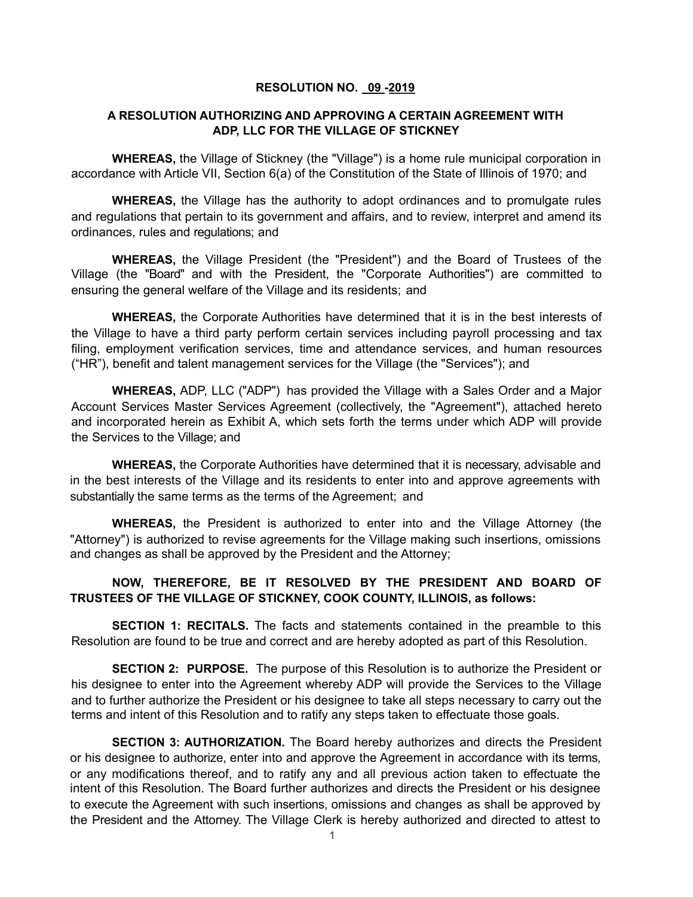## **RESOLUTION NO. 09 -2019**

## **A RESOLUTION AUTHORIZING AND APPROVING A CERTAIN AGREEMENT WITH ADP, LLC FOR THE VILLAGE OF STICKNEY**

**WHEREAS,** the Village of Stickney (the "Village") is a home rule municipal corporation in accordance with Article VII, Section 6(a) of the Constitution of the State of Illinois of 1970; and

**WHEREAS,** the Village has the authority to adopt ordinances and to promulgate rules and regulations that pertain to its government and affairs, and to review, interpret and amend its ordinances, rules and regulations; and

**WHEREAS,** the Village President (the "President") and the Board of Trustees of the Village (the "Board" and with the President, the "Corporate Authorities") are committed to ensuring the general welfare of the Village and its residents; and

**WHEREAS,** the Corporate Authorities have determined that it is in the best interests of the Village to have a third party perform certain services including payroll processing and tax filing, employment verification services, time and attendance services, and human resources ("HR"), benefit and talent management services for the Village (the "Services"); and

**WHEREAS,** ADP, LLC ("ADP") has provided the Village with a Sales Order and a Major Account Services Master Services Agreement (collectively, the "Agreement"), attached hereto and incorporated herein as Exhibit A, which sets forth the terms under which ADP will provide the Services to the Village; and

**WHEREAS,** the Corporate Authorities have determined that it is necessary, advisable and in the best interests of the Village and its residents to enter into and approve agreements with substantially the same terms as the terms of the Agreement; and

**WHEREAS,** the President is authorized to enter into and the Village Attorney (the "Attorney") is authorized to revise agreements for the Village making such insertions, omissions and changes as shall be approved by the President and the Attorney;

## **NOW, THEREFORE, BE IT RESOLVED BY THE PRESIDENT AND BOARD OF TRUSTEES OF THE VILLAGE OF STICKNEY, COOK COUNTY, ILLINOIS, as follows:**

**SECTION 1: RECITALS.** The facts and statements contained in the preamble to this Resolution are found to be true and correct and are hereby adopted as part of this Resolution.

**SECTION 2: PURPOSE.** The purpose of this Resolution is to authorize the President or his designee to enter into the Agreement whereby ADP will provide the Services to the Village and to further authorize the President or his designee to take all steps necessary to carry out the terms and intent of this Resolution and to ratify any steps taken to effectuate those goals.

**SECTION 3: AUTHORIZATION.** The Board hereby authorizes and directs the President or his designee to authorize, enter into and approve the Agreement in accordance with its terms, or any modifications thereof, and to ratify any and all previous action taken to effectuate the intent of this Resolution. The Board further authorizes and directs the President or his designee to execute the Agreement with such insertions, omissions and changes as shall be approved by the President and the Attorney. The Village Clerk is hereby authorized and directed to attest to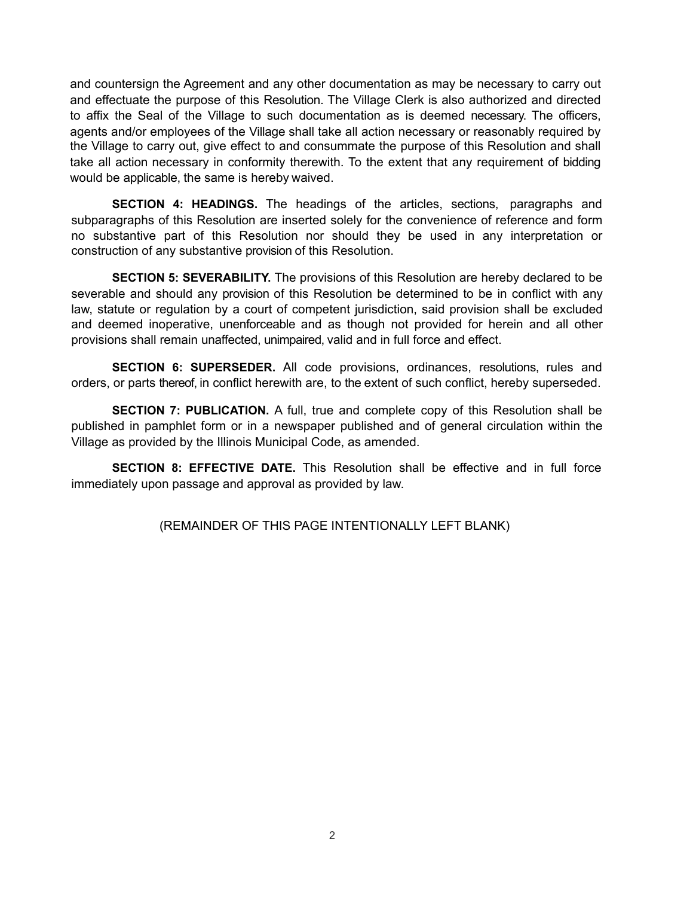and countersign the Agreement and any other documentation as may be necessary to carry out and effectuate the purpose of this Resolution. The Village Clerk is also authorized and directed to affix the Seal of the Village to such documentation as is deemed necessary. The officers, agents and/or employees of the Village shall take all action necessary or reasonably required by the Village to carry out, give effect to and consummate the purpose of this Resolution and shall take all action necessary in conformity therewith. To the extent that any requirement of bidding would be applicable, the same is hereby waived.

**SECTION 4: HEADINGS.** The headings of the articles, sections, paragraphs and subparagraphs of this Resolution are inserted solely for the convenience of reference and form no substantive part of this Resolution nor should they be used in any interpretation or construction of any substantive provision of this Resolution.

**SECTION 5: SEVERABILITY.** The provisions of this Resolution are hereby declared to be severable and should any provision of this Resolution be determined to be in conflict with any law, statute or regulation by a court of competent jurisdiction, said provision shall be excluded and deemed inoperative, unenforceable and as though not provided for herein and all other provisions shall remain unaffected, unimpaired, valid and in full force and effect.

**SECTION 6: SUPERSEDER.** All code provisions, ordinances, resolutions, rules and orders, or parts thereof, in conflict herewith are, to the extent of such conflict, hereby superseded.

**SECTION 7: PUBLICATION.** A full, true and complete copy of this Resolution shall be published in pamphlet form or in a newspaper published and of general circulation within the Village as provided by the Illinois Municipal Code, as amended.

**SECTION 8: EFFECTIVE DATE.** This Resolution shall be effective and in full force immediately upon passage and approval as provided by law.

(REMAINDER OF THIS PAGE INTENTIONALLY LEFT BLANK)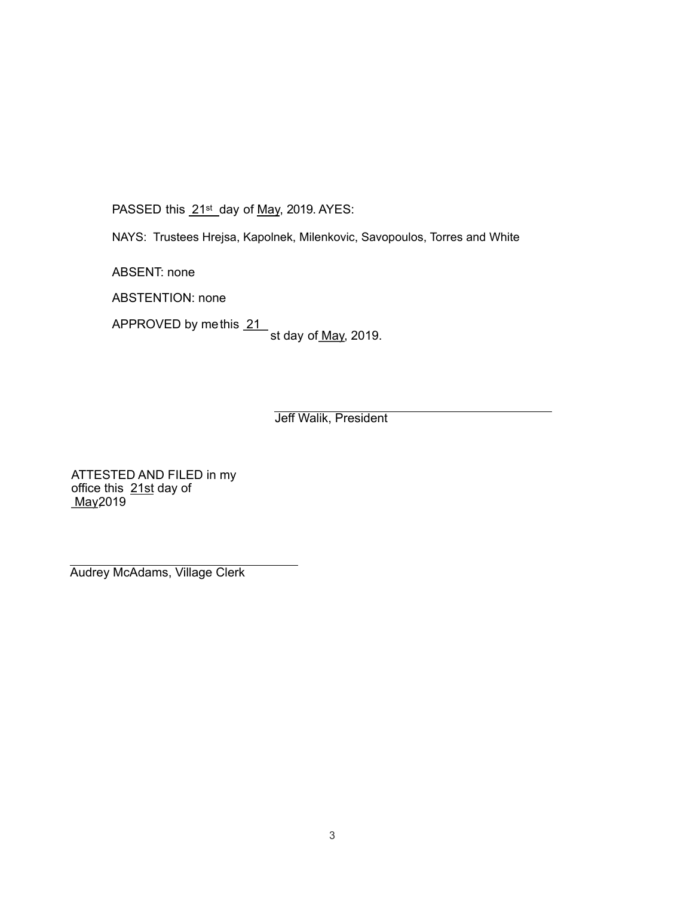PASSED this 21st day of May, 2019. AYES:

NAYS: Trustees Hrejsa, Kapolnek, Milenkovic, Savopoulos, Torres and White

ABSENT: none

ABSTENTION: none

APPROVED by methis 21 st day of <u>May,</u> 2019.

Jeff Walik, President

ATTESTED AND FILED in my office this 21st day of May2019

Audrey McAdams, Village Clerk